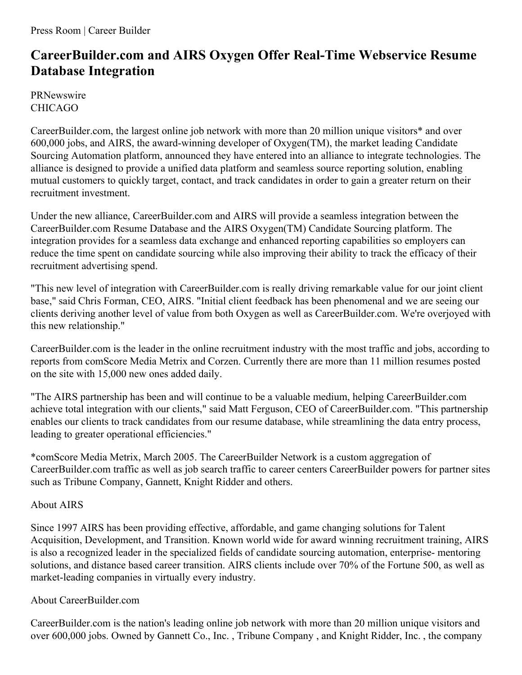## **CareerBuilder.com and AIRS Oxygen Offer Real-Time Webservice Resume Database Integration**

**PRNewswire** CHICAGO

CareerBuilder.com, the largest online job network with more than 20 million unique visitors\* and over 600,000 jobs, and AIRS, the award-winning developer of Oxygen(TM), the market leading Candidate Sourcing Automation platform, announced they have entered into an alliance to integrate technologies. The alliance is designed to provide a unified data platform and seamless source reporting solution, enabling mutual customers to quickly target, contact, and track candidates in order to gain a greater return on their recruitment investment.

Under the new alliance, CareerBuilder.com and AIRS will provide a seamless integration between the CareerBuilder.com Resume Database and the AIRS Oxygen(TM) Candidate Sourcing platform. The integration provides for a seamless data exchange and enhanced reporting capabilities so employers can reduce the time spent on candidate sourcing while also improving their ability to track the efficacy of their recruitment advertising spend.

"This new level of integration with CareerBuilder.com is really driving remarkable value for our joint client base," said Chris Forman, CEO, AIRS. "Initial client feedback has been phenomenal and we are seeing our clients deriving another level of value from both Oxygen as well as CareerBuilder.com. We're overjoyed with this new relationship."

CareerBuilder.com is the leader in the online recruitment industry with the most traffic and jobs, according to reports from comScore Media Metrix and Corzen. Currently there are more than 11 million resumes posted on the site with 15,000 new ones added daily.

"The AIRS partnership has been and will continue to be a valuable medium, helping CareerBuilder.com achieve total integration with our clients," said Matt Ferguson, CEO of CareerBuilder.com. "This partnership enables our clients to track candidates from our resume database, while streamlining the data entry process, leading to greater operational efficiencies."

\*comScore Media Metrix, March 2005. The CareerBuilder Network is a custom aggregation of CareerBuilder.com traffic as well as job search traffic to career centers CareerBuilder powers for partner sites such as Tribune Company, Gannett, Knight Ridder and others.

## About AIRS

Since 1997 AIRS has been providing effective, affordable, and game changing solutions for Talent Acquisition, Development, and Transition. Known world wide for award winning recruitment training, AIRS is also a recognized leader in the specialized fields of candidate sourcing automation, enterprise- mentoring solutions, and distance based career transition. AIRS clients include over 70% of the Fortune 500, as well as market-leading companies in virtually every industry.

## About CareerBuilder.com

CareerBuilder.com is the nation's leading online job network with more than 20 million unique visitors and over 600,000 jobs. Owned by Gannett Co., Inc. , Tribune Company , and Knight Ridder, Inc. , the company